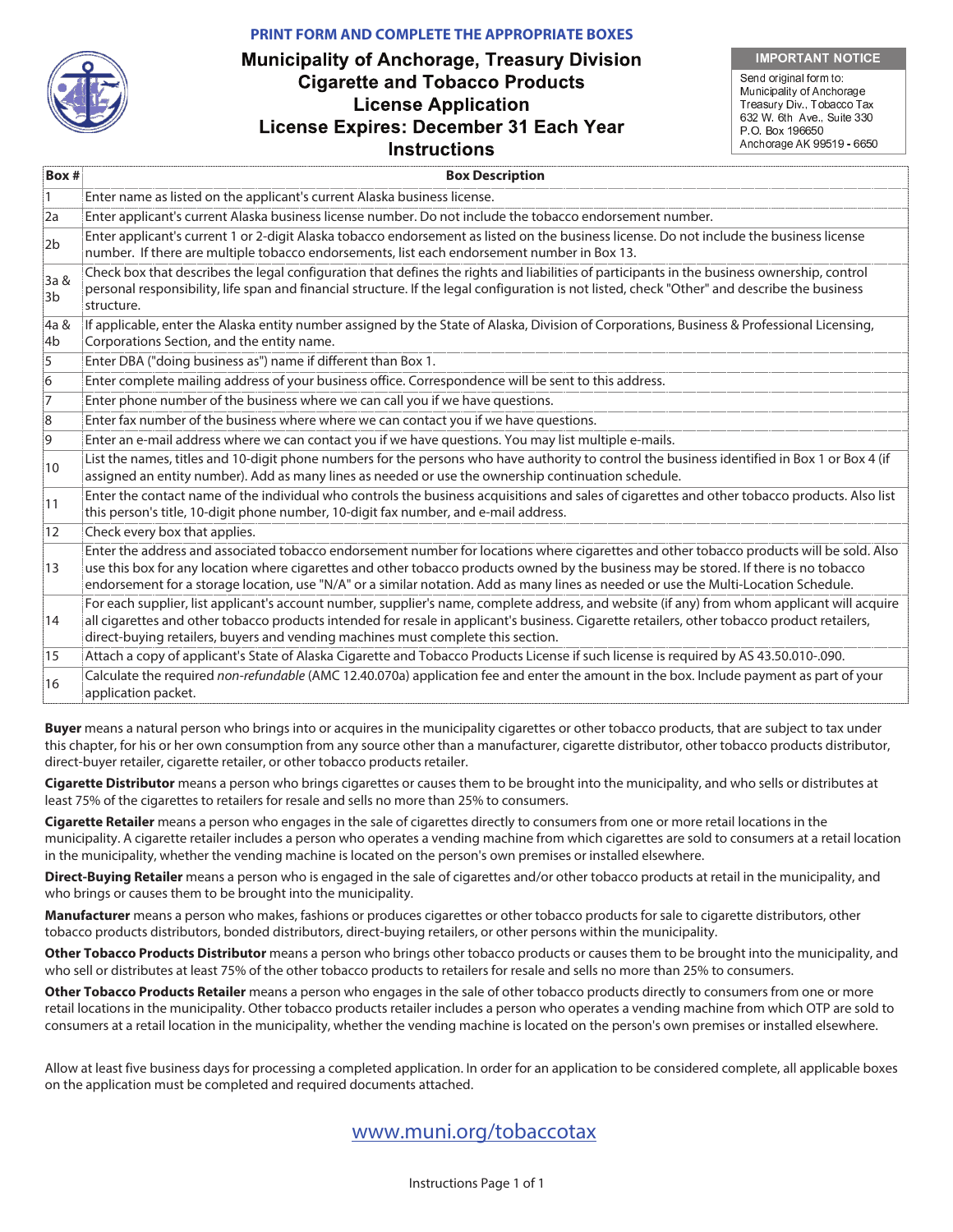#### **PRINT FORM AND COMPLETE THE APPROPRIATE BOXES**



#### . . . . . . . . . . . . . . . . . . . .

. . . . . . . Municipality of Anchorage Treasury Div., Tobacco Tax 632 W. 6th Ave., Suite 33 P.O. Box 196650 Anchorage AK 99519 - 6650

| Box#           | <b>Box Description</b>                                                                                                                                                                                                                                                                                                                                                                                                    |  |  |
|----------------|---------------------------------------------------------------------------------------------------------------------------------------------------------------------------------------------------------------------------------------------------------------------------------------------------------------------------------------------------------------------------------------------------------------------------|--|--|
| $\mathbf{1}$   | Enter name as listed on the applicant's current Alaska business license.                                                                                                                                                                                                                                                                                                                                                  |  |  |
| 2a             | Enter applicant's current Alaska business license number. Do not include the tobacco endorsement number.                                                                                                                                                                                                                                                                                                                  |  |  |
| 2 <sub>b</sub> | Enter applicant's current 1 or 2-digit Alaska tobacco endorsement as listed on the business license. Do not include the business license<br>number. If there are multiple tobacco endorsements, list each endorsement number in Box 13.                                                                                                                                                                                   |  |  |
| 3a &<br>3b     | Check box that describes the legal configuration that defines the rights and liabilities of participants in the business ownership, control<br>personal responsibility, life span and financial structure. If the legal configuration is not listed, check "Other" and describe the business<br>structure.                                                                                                                |  |  |
| 4a &<br>4b     | If applicable, enter the Alaska entity number assigned by the State of Alaska, Division of Corporations, Business & Professional Licensing,<br>Corporations Section, and the entity name.                                                                                                                                                                                                                                 |  |  |
| 5              | Enter DBA ("doing business as") name if different than Box 1.                                                                                                                                                                                                                                                                                                                                                             |  |  |
| $\overline{6}$ | Enter complete mailing address of your business office. Correspondence will be sent to this address.                                                                                                                                                                                                                                                                                                                      |  |  |
| $\overline{7}$ | Enter phone number of the business where we can call you if we have questions.                                                                                                                                                                                                                                                                                                                                            |  |  |
| 8              | Enter fax number of the business where where we can contact you if we have questions.                                                                                                                                                                                                                                                                                                                                     |  |  |
| 9              | Enter an e-mail address where we can contact you if we have questions. You may list multiple e-mails.                                                                                                                                                                                                                                                                                                                     |  |  |
| 10             | List the names, titles and 10-digit phone numbers for the persons who have authority to control the business identified in Box 1 or Box 4 (if<br>assigned an entity number). Add as many lines as needed or use the ownership continuation schedule.                                                                                                                                                                      |  |  |
| 11             | Enter the contact name of the individual who controls the business acquisitions and sales of cigarettes and other tobacco products. Also list<br>this person's title, 10-digit phone number, 10-digit fax number, and e-mail address.                                                                                                                                                                                     |  |  |
| 12             | Check every box that applies.                                                                                                                                                                                                                                                                                                                                                                                             |  |  |
| 13             | Enter the address and associated tobacco endorsement number for locations where cigarettes and other tobacco products will be sold. Also<br>use this box for any location where cigarettes and other tobacco products owned by the business may be stored. If there is no tobacco<br>endorsement for a storage location, use "N/A" or a similar notation. Add as many lines as needed or use the Multi-Location Schedule. |  |  |
| 14             | For each supplier, list applicant's account number, supplier's name, complete address, and website (if any) from whom applicant will acquire<br>all cigarettes and other tobacco products intended for resale in applicant's business. Cigarette retailers, other tobacco product retailers,<br>direct-buying retailers, buyers and vending machines must complete this section.                                          |  |  |
| 15             | Attach a copy of applicant's State of Alaska Cigarette and Tobacco Products License if such license is required by AS 43.50.010-.090.                                                                                                                                                                                                                                                                                     |  |  |
| 16             | Calculate the required non-refundable (AMC 12.40.070a) application fee and enter the amount in the box. Include payment as part of your<br>application packet.                                                                                                                                                                                                                                                            |  |  |

**Buyer** means a natural person who brings into or acquires in the municipality cigarettes or other tobacco products, that are subject to tax under this chapter, for his or her own consumption from any source other than a manufacturer, cigarette distributor, other tobacco products distributor, direct-buyer retailer, cigarette retailer, or other tobacco products retailer.

**Cigarette Distributor** means a person who brings cigarettes or causes them to be brought into the municipality, and who sells or distributes at least 75% of the cigarettes to retailers for resale and sells no more than 25% to consumers.

**Cigarette Retailer** means a person who engages in the sale of cigarettes directly to consumers from one or more retail locations in the municipality. A cigarette retailer includes a person who operates a vending machine from which cigarettes are sold to consumers at a retail location in the municipality, whether the vending machine is located on the person's own premises or installed elsewhere.

**Direct-Buying Retailer** means a person who is engaged in the sale of cigarettes and/or other tobacco products at retail in the municipality, and who brings or causes them to be brought into the municipality.

**Manufacturer** means a person who makes, fashions or produces cigarettes or other tobacco products for sale to cigarette distributors, other tobacco products distributors, bonded distributors, direct-buying retailers, or other persons within the municipality.

**Other Tobacco Products Distributor** means a person who brings other tobacco products or causes them to be brought into the municipality, and who sell or distributes at least 75% of the other tobacco products to retailers for resale and sells no more than 25% to consumers.

**Other Tobacco Products Retailer** means a person who engages in the sale of other tobacco products directly to consumers from one or more retail locations in the municipality. Other tobacco products retailer includes a person who operates a vending machine from which OTP are sold to consumers at a retail location in the municipality, whether the vending machine is located on the person's own premises or installed elsewhere.

Allow at least five business days for processing a completed application. In order for an application to be considered complete, all applicable boxes on the application must be completed and required documents attached.

# www.muni.org/tobaccotax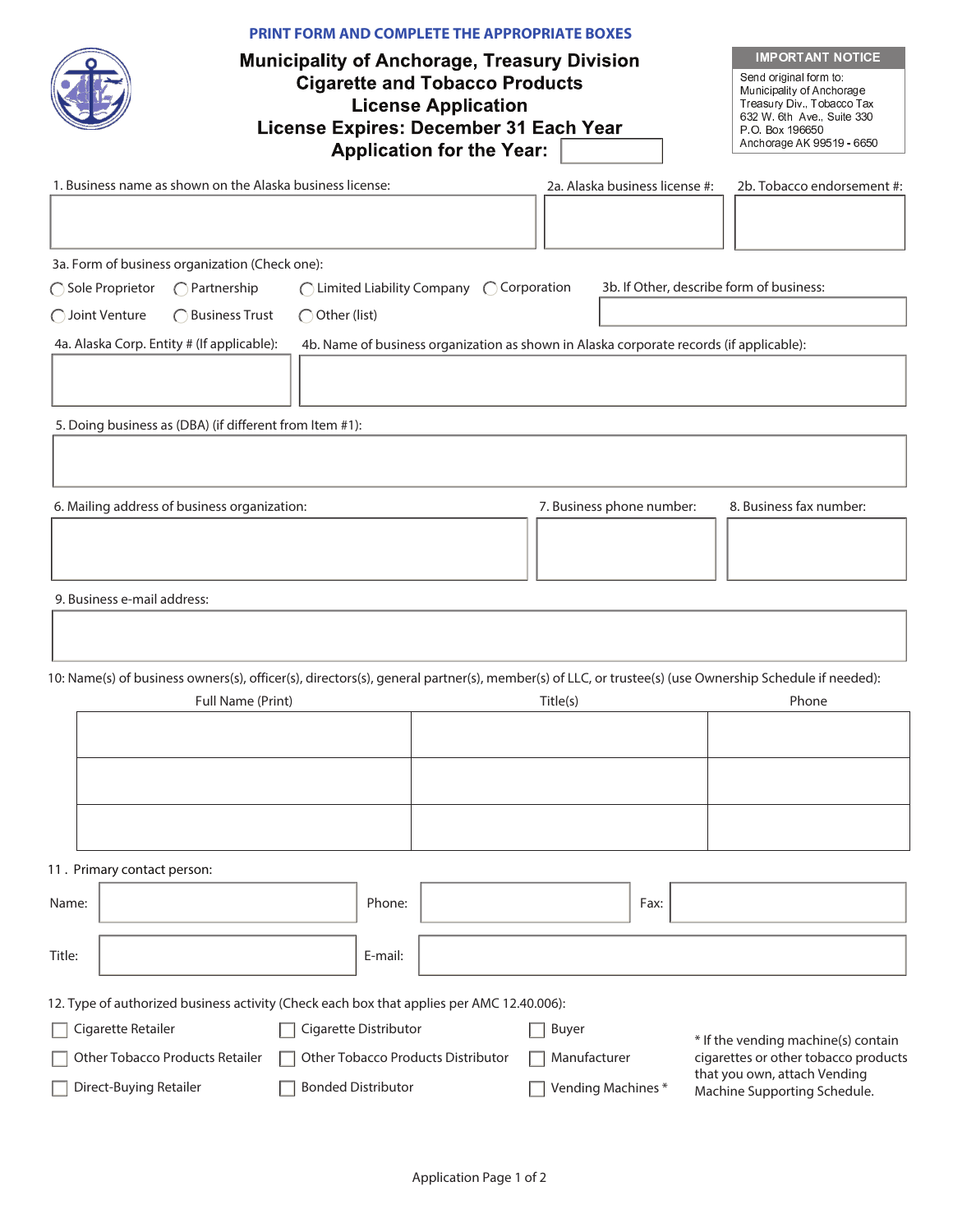| PRINT FORM AND COMPLETE THE APPROPRIATE BOXES<br><b>Municipality of Anchorage, Treasury Division</b><br><b>Cigarette and Tobacco Products</b><br><b>License Application</b><br>License Expires: December 31 Each Year<br><b>Application for the Year:</b><br>1. Business name as shown on the Alaska business license: | 2a. Alaska business license #:                                                          | <b>IMPORTANT NOTICE</b><br>Send original form to:<br>Municipality of Anchorage<br>Treasury Div., Tobacco Tax<br>632 W. 6th Ave., Suite 330<br>P.O. Box 196650<br>Anchorage AK 99519 - 6650<br>2b. Tobacco endorsement #: |
|------------------------------------------------------------------------------------------------------------------------------------------------------------------------------------------------------------------------------------------------------------------------------------------------------------------------|-----------------------------------------------------------------------------------------|--------------------------------------------------------------------------------------------------------------------------------------------------------------------------------------------------------------------------|
|                                                                                                                                                                                                                                                                                                                        |                                                                                         |                                                                                                                                                                                                                          |
| 3a. Form of business organization (Check one):                                                                                                                                                                                                                                                                         |                                                                                         |                                                                                                                                                                                                                          |
| $\bigcap$ Partnership<br>◯ Limited Liability Company<br>◯ Sole Proprietor                                                                                                                                                                                                                                              | $\bigcirc$ Corporation                                                                  | 3b. If Other, describe form of business:                                                                                                                                                                                 |
| ◯ Joint Venture<br>◯ Business Trust<br>◯ Other (list)                                                                                                                                                                                                                                                                  |                                                                                         |                                                                                                                                                                                                                          |
|                                                                                                                                                                                                                                                                                                                        |                                                                                         |                                                                                                                                                                                                                          |
| 4a. Alaska Corp. Entity # (If applicable):                                                                                                                                                                                                                                                                             | 4b. Name of business organization as shown in Alaska corporate records (if applicable): |                                                                                                                                                                                                                          |
|                                                                                                                                                                                                                                                                                                                        |                                                                                         |                                                                                                                                                                                                                          |
|                                                                                                                                                                                                                                                                                                                        |                                                                                         |                                                                                                                                                                                                                          |
| 5. Doing business as (DBA) (if different from Item #1):                                                                                                                                                                                                                                                                |                                                                                         |                                                                                                                                                                                                                          |
|                                                                                                                                                                                                                                                                                                                        |                                                                                         |                                                                                                                                                                                                                          |
|                                                                                                                                                                                                                                                                                                                        |                                                                                         |                                                                                                                                                                                                                          |
| 6. Mailing address of business organization:                                                                                                                                                                                                                                                                           | 7. Business phone number:                                                               | 8. Business fax number:                                                                                                                                                                                                  |
|                                                                                                                                                                                                                                                                                                                        |                                                                                         |                                                                                                                                                                                                                          |
|                                                                                                                                                                                                                                                                                                                        |                                                                                         |                                                                                                                                                                                                                          |
|                                                                                                                                                                                                                                                                                                                        |                                                                                         |                                                                                                                                                                                                                          |
| 9. Business e-mail address:                                                                                                                                                                                                                                                                                            |                                                                                         |                                                                                                                                                                                                                          |
|                                                                                                                                                                                                                                                                                                                        |                                                                                         |                                                                                                                                                                                                                          |
|                                                                                                                                                                                                                                                                                                                        |                                                                                         |                                                                                                                                                                                                                          |
| 10: Name(s) of business owners(s), officer(s), directors(s), general partner(s), member(s) of LLC, or trustee(s) (use Ownership Schedule if needed):                                                                                                                                                                   |                                                                                         |                                                                                                                                                                                                                          |
| Full Name (Print)                                                                                                                                                                                                                                                                                                      | Title(s)                                                                                | Phone                                                                                                                                                                                                                    |
|                                                                                                                                                                                                                                                                                                                        |                                                                                         |                                                                                                                                                                                                                          |
|                                                                                                                                                                                                                                                                                                                        |                                                                                         |                                                                                                                                                                                                                          |
|                                                                                                                                                                                                                                                                                                                        |                                                                                         |                                                                                                                                                                                                                          |
|                                                                                                                                                                                                                                                                                                                        |                                                                                         |                                                                                                                                                                                                                          |
|                                                                                                                                                                                                                                                                                                                        |                                                                                         |                                                                                                                                                                                                                          |
|                                                                                                                                                                                                                                                                                                                        |                                                                                         |                                                                                                                                                                                                                          |
| 11. Primary contact person:                                                                                                                                                                                                                                                                                            |                                                                                         |                                                                                                                                                                                                                          |
| Phone:<br>Name:                                                                                                                                                                                                                                                                                                        | Fax:                                                                                    |                                                                                                                                                                                                                          |
|                                                                                                                                                                                                                                                                                                                        |                                                                                         |                                                                                                                                                                                                                          |
| Title:<br>E-mail:                                                                                                                                                                                                                                                                                                      |                                                                                         |                                                                                                                                                                                                                          |
|                                                                                                                                                                                                                                                                                                                        |                                                                                         |                                                                                                                                                                                                                          |
| 12. Type of authorized business activity (Check each box that applies per AMC 12.40.006):                                                                                                                                                                                                                              |                                                                                         |                                                                                                                                                                                                                          |
| Cigarette Distributor<br>Cigarette Retailer                                                                                                                                                                                                                                                                            | Buyer                                                                                   | * If the vending machine(s) contain                                                                                                                                                                                      |
| Other Tobacco Products Distributor<br>Other Tobacco Products Retailer                                                                                                                                                                                                                                                  | Manufacturer                                                                            | cigarettes or other tobacco products                                                                                                                                                                                     |
| Direct-Buying Retailer<br><b>Bonded Distributor</b>                                                                                                                                                                                                                                                                    | Vending Machines*                                                                       | that you own, attach Vending<br>Machine Supporting Schedule.                                                                                                                                                             |